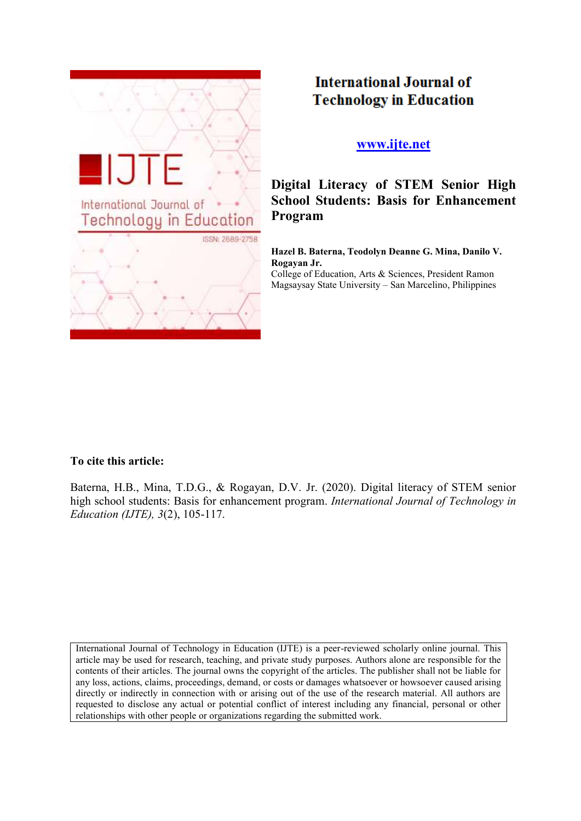

# **International Journal of Technology in Education**

## **[www.ijte.net](http://www.ijte.net/)**

**Digital Literacy of STEM Senior High School Students: Basis for Enhancement Program**

**Hazel B. Baterna, Teodolyn Deanne G. Mina, Danilo V. Rogayan Jr.**

College of Education, Arts & Sciences, President Ramon Magsaysay State University – San Marcelino, Philippines

## **To cite this article:**

Baterna, H.B., Mina, T.D.G., & Rogayan, D.V. Jr. (2020). Digital literacy of STEM senior high school students: Basis for enhancement program. *International Journal of Technology in Education (IJTE), 3*(2), 105-117.

International Journal of Technology in Education (IJTE) is a peer-reviewed scholarly online journal. This article may be used for research, teaching, and private study purposes. Authors alone are responsible for the contents of their articles. The journal owns the copyright of the articles. The publisher shall not be liable for any loss, actions, claims, proceedings, demand, or costs or damages whatsoever or howsoever caused arising directly or indirectly in connection with or arising out of the use of the research material. All authors are requested to disclose any actual or potential conflict of interest including any financial, personal or other relationships with other people or organizations regarding the submitted work.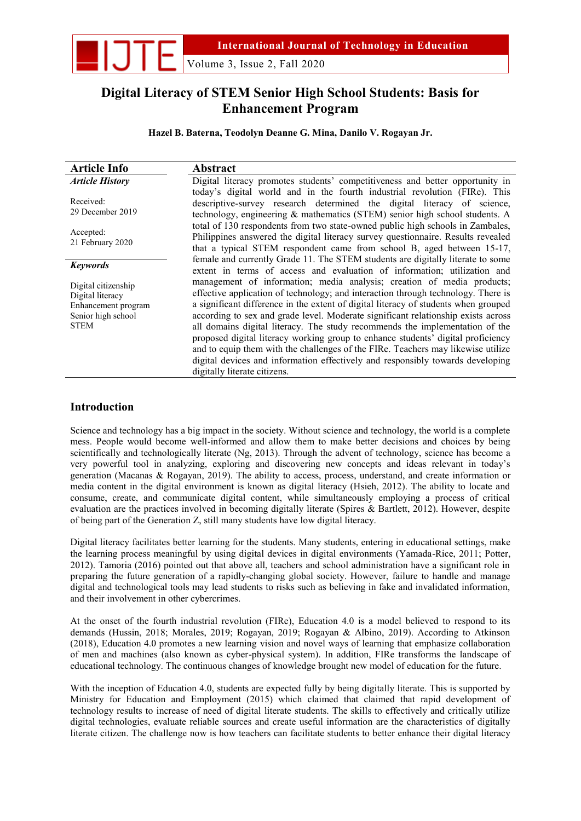

Volume 3, Issue 2, Fall 2020

## **Digital Literacy of STEM Senior High School Students: Basis for Enhancement Program**

**Hazel B. Baterna, Teodolyn Deanne G. Mina, Danilo V. Rogayan Jr.** 

| <b>Article Info</b>                                                                                 | <b>Abstract</b>                                                                                                                                                                                                                                                                                                                                                                                                                                                                                                                                                                                                                                                                                                   |
|-----------------------------------------------------------------------------------------------------|-------------------------------------------------------------------------------------------------------------------------------------------------------------------------------------------------------------------------------------------------------------------------------------------------------------------------------------------------------------------------------------------------------------------------------------------------------------------------------------------------------------------------------------------------------------------------------------------------------------------------------------------------------------------------------------------------------------------|
| <b>Article History</b>                                                                              | Digital literacy promotes students' competitiveness and better opportunity in<br>today's digital world and in the fourth industrial revolution (FIRe). This                                                                                                                                                                                                                                                                                                                                                                                                                                                                                                                                                       |
| Received:<br>29 December 2019                                                                       | descriptive-survey research determined the digital literacy of science,<br>technology, engineering & mathematics (STEM) senior high school students. A                                                                                                                                                                                                                                                                                                                                                                                                                                                                                                                                                            |
| Accepted:<br>21 February 2020                                                                       | total of 130 respondents from two state-owned public high schools in Zambales,<br>Philippines answered the digital literacy survey questionnaire. Results revealed<br>that a typical STEM respondent came from school B, aged between 15-17,<br>female and currently Grade 11. The STEM students are digitally literate to some                                                                                                                                                                                                                                                                                                                                                                                   |
| <b>Keywords</b>                                                                                     | extent in terms of access and evaluation of information; utilization and                                                                                                                                                                                                                                                                                                                                                                                                                                                                                                                                                                                                                                          |
| Digital citizenship<br>Digital literacy<br>Enhancement program<br>Senior high school<br><b>STEM</b> | management of information; media analysis; creation of media products;<br>effective application of technology; and interaction through technology. There is<br>a significant difference in the extent of digital literacy of students when grouped<br>according to sex and grade level. Moderate significant relationship exists across<br>all domains digital literacy. The study recommends the implementation of the<br>proposed digital literacy working group to enhance students' digital proficiency<br>and to equip them with the challenges of the FIRe. Teachers may likewise utilize<br>digital devices and information effectively and responsibly towards developing<br>digitally literate citizens. |

## **Introduction**

Science and technology has a big impact in the society. Without science and technology, the world is a complete mess. People would become well-informed and allow them to make better decisions and choices by being scientifically and technologically literate (Ng, 2013). Through the advent of technology, science has become a very powerful tool in analyzing, exploring and discovering new concepts and ideas relevant in today's generation (Macanas & Rogayan, 2019). The ability to access, process, understand, and create information or media content in the digital environment is known as digital literacy (Hsieh, 2012). The ability to locate and consume, create, and communicate digital content, while simultaneously employing a process of critical evaluation are the practices involved in becoming digitally literate (Spires & Bartlett, 2012). However, despite of being part of the Generation Z, still many students have low digital literacy.

Digital literacy facilitates better learning for the students. Many students, entering in educational settings, make the learning process meaningful by using digital devices in digital environments (Yamada-Rice, 2011; Potter, 2012). Tamoria (2016) pointed out that above all, teachers and school administration have a significant role in preparing the future generation of a rapidly-changing global society. However, failure to handle and manage digital and technological tools may lead students to risks such as believing in fake and invalidated information, and their involvement in other cybercrimes.

At the onset of the fourth industrial revolution (FIRe), Education 4.0 is a model believed to respond to its demands (Hussin, 2018; Morales, 2019; Rogayan, 2019; Rogayan & Albino, 2019). According to Atkinson (2018), Education 4.0 promotes a new learning vision and novel ways of learning that emphasize collaboration of men and machines (also known as cyber-physical system). In addition, FIRe transforms the landscape of educational technology. The continuous changes of knowledge brought new model of education for the future.

With the inception of Education 4.0, students are expected fully by being digitally literate. This is supported by Ministry for Education and Employment (2015) which claimed that claimed that rapid development of technology results to increase of need of digital literate students. The skills to effectively and critically utilize digital technologies, evaluate reliable sources and create useful information are the characteristics of digitally literate citizen. The challenge now is how teachers can facilitate students to better enhance their digital literacy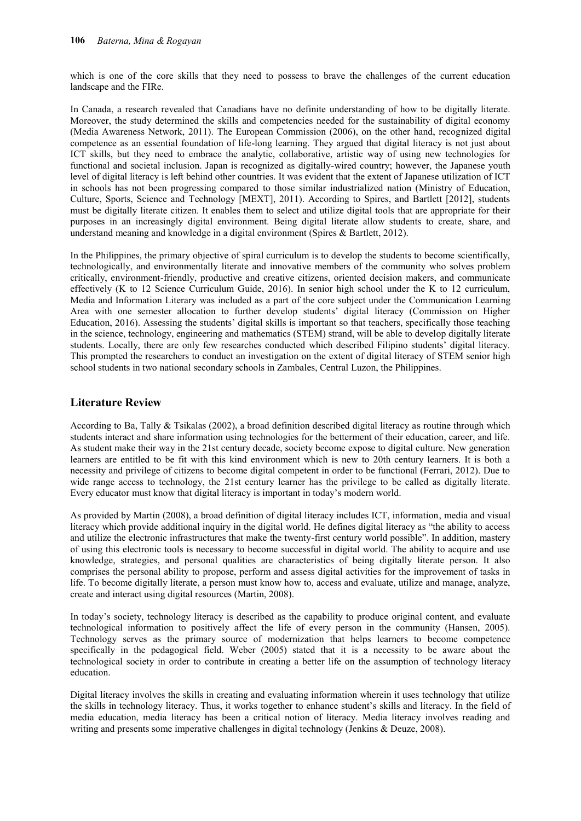which is one of the core skills that they need to possess to brave the challenges of the current education landscape and the FIRe.

In Canada, a research revealed that Canadians have no definite understanding of how to be digitally literate. Moreover, the study determined the skills and competencies needed for the sustainability of digital economy (Media Awareness Network, 2011). The European Commission (2006), on the other hand, recognized digital competence as an essential foundation of life-long learning. They argued that digital literacy is not just about ICT skills, but they need to embrace the analytic, collaborative, artistic way of using new technologies for functional and societal inclusion. Japan is recognized as digitally-wired country; however, the Japanese youth level of digital literacy is left behind other countries. It was evident that the extent of Japanese utilization of ICT in schools has not been progressing compared to those similar industrialized nation (Ministry of Education, Culture, Sports, Science and Technology [MEXT], 2011). According to Spires, and Bartlett [2012], students must be digitally literate citizen. It enables them to select and utilize digital tools that are appropriate for their purposes in an increasingly digital environment. Being digital literate allow students to create, share, and understand meaning and knowledge in a digital environment (Spires & Bartlett, 2012).

In the Philippines, the primary objective of spiral curriculum is to develop the students to become scientifically, technologically, and environmentally literate and innovative members of the community who solves problem critically, environment-friendly, productive and creative citizens, oriented decision makers, and communicate effectively (K to 12 Science Curriculum Guide, 2016). In senior high school under the K to 12 curriculum, Media and Information Literary was included as a part of the core subject under the Communication Learning Area with one semester allocation to further develop students' digital literacy (Commission on Higher Education, 2016). Assessing the students' digital skills is important so that teachers, specifically those teaching in the science, technology, engineering and mathematics (STEM) strand, will be able to develop digitally literate students. Locally, there are only few researches conducted which described Filipino students' digital literacy. This prompted the researchers to conduct an investigation on the extent of digital literacy of STEM senior high school students in two national secondary schools in Zambales, Central Luzon, the Philippines.

## **Literature Review**

According to Ba, Tally & Tsikalas (2002), a broad definition described digital literacy as routine through which students interact and share information using technologies for the betterment of their education, career, and life. As student make their way in the 21st century decade, society become expose to digital culture. New generation learners are entitled to be fit with this kind environment which is new to 20th century learners. It is both a necessity and privilege of citizens to become digital competent in order to be functional (Ferrari, 2012). Due to wide range access to technology, the 21st century learner has the privilege to be called as digitally literate. Every educator must know that digital literacy is important in today's modern world.

As provided by Martin (2008), a broad definition of digital literacy includes ICT, information, media and visual literacy which provide additional inquiry in the digital world. He defines digital literacy as "the ability to access and utilize the electronic infrastructures that make the twenty-first century world possible". In addition, mastery of using this electronic tools is necessary to become successful in digital world. The ability to acquire and use knowledge, strategies, and personal qualities are characteristics of being digitally literate person. It also comprises the personal ability to propose, perform and assess digital activities for the improvement of tasks in life. To become digitally literate, a person must know how to, access and evaluate, utilize and manage, analyze, create and interact using digital resources (Martin, 2008).

In today's society, technology literacy is described as the capability to produce original content, and evaluate technological information to positively affect the life of every person in the community (Hansen, 2005). Technology serves as the primary source of modernization that helps learners to become competence specifically in the pedagogical field. Weber (2005) stated that it is a necessity to be aware about the technological society in order to contribute in creating a better life on the assumption of technology literacy education.

Digital literacy involves the skills in creating and evaluating information wherein it uses technology that utilize the skills in technology literacy. Thus, it works together to enhance student's skills and literacy. In the field of media education, media literacy has been a critical notion of literacy. Media literacy involves reading and writing and presents some imperative challenges in digital technology (Jenkins & Deuze, 2008).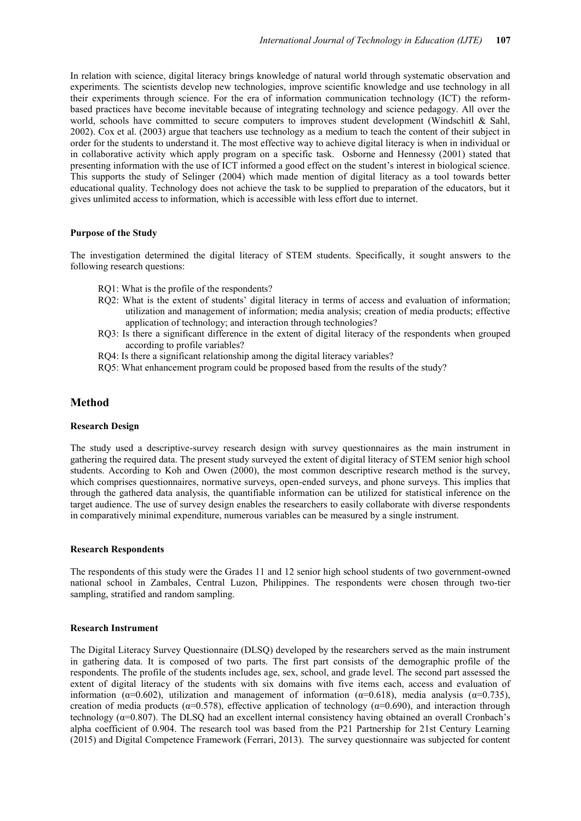In relation with science, digital literacy brings knowledge of natural world through systematic observation and experiments. The scientists develop new technologies, improve scientific knowledge and use technology in all their experiments through science. For the era of information communication technology (ICT) the reformbased practices have become inevitable because of integrating technology and science pedagogy. All over the world, schools have committed to secure computers to improves student development (Windschitl & Sahl, 2002). Cox et al. (2003) argue that teachers use technology as a medium to teach the content of their subject in order for the students to understand it. The most effective way to achieve digital literacy is when in individual or in collaborative activity which apply program on a specific task. Osborne and Hennessy (2001) stated that presenting information with the use of ICT informed a good effect on the student's interest in biological science. This supports the study of Selinger (2004) which made mention of digital literacy as a tool towards better educational quality. Technology does not achieve the task to be supplied to preparation of the educators, but it gives unlimited access to information, which is accessible with less effort due to internet.

#### **Purpose of the Study**

The investigation determined the digital literacy of STEM students. Specifically, it sought answers to the following research questions:

- RQ1: What is the profile of the respondents?
- RQ2: What is the extent of students' digital literacy in terms of access and evaluation of information; utilization and management of information; media analysis; creation of media products; effective application of technology; and interaction through technologies?
- RQ3: Is there a significant difference in the extent of digital literacy of the respondents when grouped according to profile variables?
- RQ4: Is there a significant relationship among the digital literacy variables?
- RQ5: What enhancement program could be proposed based from the results of the study?

### **Method**

#### **Research Design**

The study used a descriptive-survey research design with survey questionnaires as the main instrument in gathering the required data. The present study surveyed the extent of digital literacy of STEM senior high school students. According to Koh and Owen (2000), the most common descriptive research method is the survey, which comprises questionnaires, normative surveys, open-ended surveys, and phone surveys. This implies that through the gathered data analysis, the quantifiable information can be utilized for statistical inference on the target audience. The use of survey design enables the researchers to easily collaborate with diverse respondents in comparatively minimal expenditure, numerous variables can be measured by a single instrument.

#### **Research Respondents**

The respondents of this study were the Grades 11 and 12 senior high school students of two government-owned national school in Zambales, Central Luzon, Philippines. The respondents were chosen through two-tier sampling, stratified and random sampling.

#### **Research Instrument**

The Digital Literacy Survey Questionnaire (DLSQ) developed by the researchers served as the main instrument in gathering data. It is composed of two parts. The first part consists of the demographic profile of the respondents. The profile of the students includes age, sex, school, and grade level. The second part assessed the extent of digital literacy of the students with six domains with five items each, access and evaluation of information ( $\alpha$ =0.602), utilization and management of information ( $\alpha$ =0.618), media analysis ( $\alpha$ =0.735), creation of media products ( $\alpha$ =0.578), effective application of technology ( $\alpha$ =0.690), and interaction through technology  $(\alpha=0.807)$ . The DLSQ had an excellent internal consistency having obtained an overall Cronbach's alpha coefficient of 0.904. The research tool was based from the P21 Partnership for 21st Century Learning (2015) and Digital Competence Framework (Ferrari, 2013). The survey questionnaire was subjected for content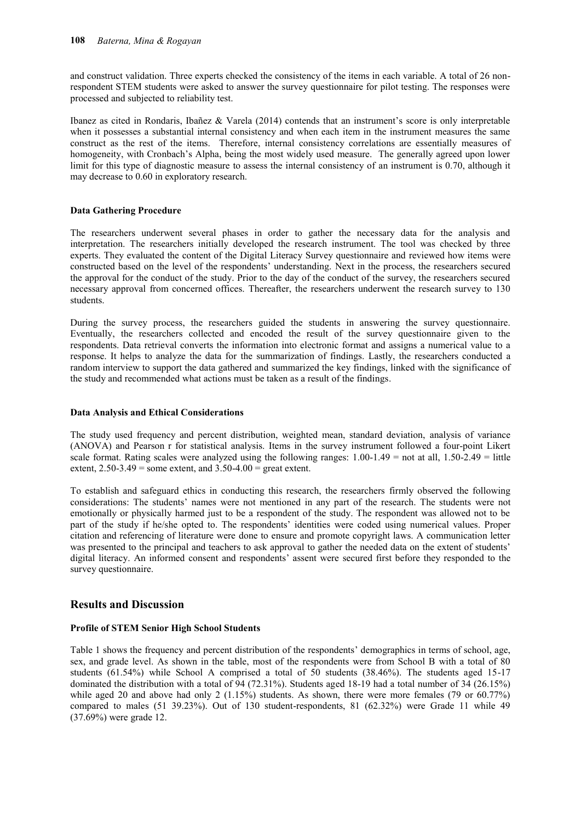and construct validation. Three experts checked the consistency of the items in each variable. A total of 26 nonrespondent STEM students were asked to answer the survey questionnaire for pilot testing. The responses were processed and subjected to reliability test.

Ibanez as cited in Rondaris, Ibañez & Varela (2014) contends that an instrument's score is only interpretable when it possesses a substantial internal consistency and when each item in the instrument measures the same construct as the rest of the items. Therefore, internal consistency correlations are essentially measures of homogeneity, with Cronbach's Alpha, being the most widely used measure. The generally agreed upon lower limit for this type of diagnostic measure to assess the internal consistency of an instrument is 0.70, although it may decrease to 0.60 in exploratory research.

#### **Data Gathering Procedure**

The researchers underwent several phases in order to gather the necessary data for the analysis and interpretation. The researchers initially developed the research instrument. The tool was checked by three experts. They evaluated the content of the Digital Literacy Survey questionnaire and reviewed how items were constructed based on the level of the respondents' understanding. Next in the process, the researchers secured the approval for the conduct of the study. Prior to the day of the conduct of the survey, the researchers secured necessary approval from concerned offices. Thereafter, the researchers underwent the research survey to 130 students.

During the survey process, the researchers guided the students in answering the survey questionnaire. Eventually, the researchers collected and encoded the result of the survey questionnaire given to the respondents. Data retrieval converts the information into electronic format and assigns a numerical value to a response. It helps to analyze the data for the summarization of findings. Lastly, the researchers conducted a random interview to support the data gathered and summarized the key findings, linked with the significance of the study and recommended what actions must be taken as a result of the findings.

#### **Data Analysis and Ethical Considerations**

The study used frequency and percent distribution, weighted mean, standard deviation, analysis of variance (ANOVA) and Pearson r for statistical analysis. Items in the survey instrument followed a four-point Likert scale format. Rating scales were analyzed using the following ranges:  $1.00-1.49 =$  not at all,  $1.50-2.49 =$  little extent,  $2.50-3.49$  = some extent, and  $3.50-4.00$  = great extent.

To establish and safeguard ethics in conducting this research, the researchers firmly observed the following considerations: The students' names were not mentioned in any part of the research. The students were not emotionally or physically harmed just to be a respondent of the study. The respondent was allowed not to be part of the study if he/she opted to. The respondents' identities were coded using numerical values. Proper citation and referencing of literature were done to ensure and promote copyright laws. A communication letter was presented to the principal and teachers to ask approval to gather the needed data on the extent of students' digital literacy. An informed consent and respondents' assent were secured first before they responded to the survey questionnaire.

## **Results and Discussion**

#### **Profile of STEM Senior High School Students**

Table 1 shows the frequency and percent distribution of the respondents' demographics in terms of school, age, sex, and grade level. As shown in the table, most of the respondents were from School B with a total of 80 students (61.54%) while School A comprised a total of 50 students (38.46%). The students aged 15-17 dominated the distribution with a total of 94 (72.31%). Students aged 18-19 had a total number of 34 (26.15%) while aged 20 and above had only 2 (1.15%) students. As shown, there were more females (79 or 60.77%) compared to males (51 39.23%). Out of 130 student-respondents, 81 (62.32%) were Grade 11 while 49 (37.69%) were grade 12.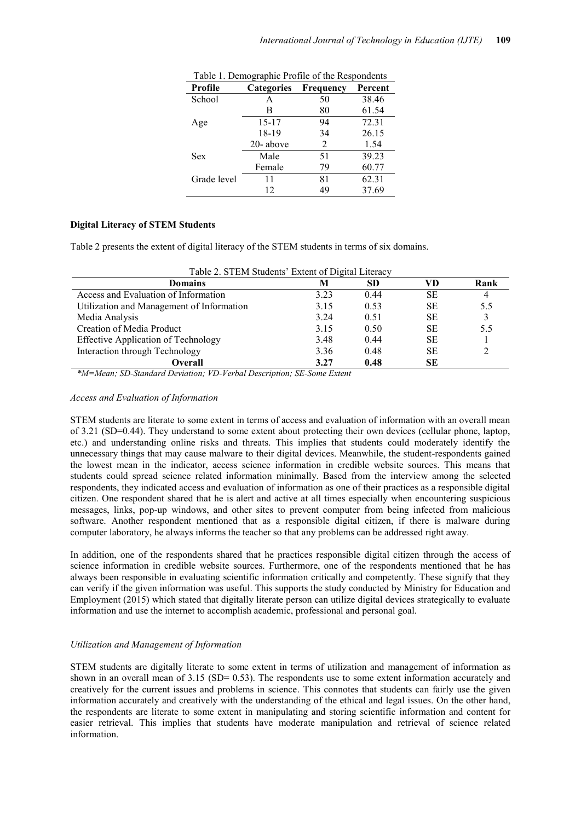| Profile     | <b>Categories</b> | Frequency | Percent |
|-------------|-------------------|-----------|---------|
| School      | A                 | 50        | 38.46   |
|             | В                 | 80        | 61.54   |
| Age         | 15-17             | 94        | 72.31   |
|             | 18-19             | 34        | 26.15   |
|             | 20-above          | 2         | 1.54    |
| <b>Sex</b>  | Male              | 51        | 39.23   |
|             | Female            | 79        | 60.77   |
| Grade level | 11                | 81        | 62.31   |
|             | 12                | 49        | 37.69   |

Table 1. Demographic Profile of the Respondents

## **Digital Literacy of STEM Students**

Table 2 presents the extent of digital literacy of the STEM students in terms of six domains.

| Table 2. STEM Students' Extent of Digital Literacy |       |      |           |      |  |  |  |  |  |
|----------------------------------------------------|-------|------|-----------|------|--|--|--|--|--|
| <b>Domains</b>                                     | M     | SD   | VD        | Rank |  |  |  |  |  |
| Access and Evaluation of Information               | 3.23  | 0.44 | SЕ        | 4    |  |  |  |  |  |
| Utilization and Management of Information          | 3.15  | 0.53 | <b>SE</b> | 5.5  |  |  |  |  |  |
| Media Analysis                                     | 3 2 4 | 0.51 | <b>SE</b> |      |  |  |  |  |  |
| Creation of Media Product                          | 3.15  | 0.50 | <b>SE</b> | 5.5  |  |  |  |  |  |
| <b>Effective Application of Technology</b>         | 3.48  | 0.44 | <b>SE</b> |      |  |  |  |  |  |
| Interaction through Technology                     | 3.36  | 0.48 | <b>SE</b> |      |  |  |  |  |  |
| Overall<br>---                                     | 3.27  | 0.48 | <b>SE</b> |      |  |  |  |  |  |

 *\*M=Mean; SD-Standard Deviation; VD-Verbal Description; SE-Some Extent* 

#### *Access and Evaluation of Information*

STEM students are literate to some extent in terms of access and evaluation of information with an overall mean of 3.21 (SD=0.44). They understand to some extent about protecting their own devices (cellular phone, laptop, etc.) and understanding online risks and threats. This implies that students could moderately identify the unnecessary things that may cause malware to their digital devices. Meanwhile, the student-respondents gained the lowest mean in the indicator, access science information in credible website sources. This means that students could spread science related information minimally. Based from the interview among the selected respondents, they indicated access and evaluation of information as one of their practices as a responsible digital citizen. One respondent shared that he is alert and active at all times especially when encountering suspicious messages, links, pop-up windows, and other sites to prevent computer from being infected from malicious software. Another respondent mentioned that as a responsible digital citizen, if there is malware during computer laboratory, he always informs the teacher so that any problems can be addressed right away.

In addition, one of the respondents shared that he practices responsible digital citizen through the access of science information in credible website sources. Furthermore, one of the respondents mentioned that he has always been responsible in evaluating scientific information critically and competently. These signify that they can verify if the given information was useful. This supports the study conducted by Ministry for Education and Employment (2015) which stated that digitally literate person can utilize digital devices strategically to evaluate information and use the internet to accomplish academic, professional and personal goal.

#### *Utilization and Management of Information*

STEM students are digitally literate to some extent in terms of utilization and management of information as shown in an overall mean of 3.15 (SD= 0.53). The respondents use to some extent information accurately and creatively for the current issues and problems in science. This connotes that students can fairly use the given information accurately and creatively with the understanding of the ethical and legal issues. On the other hand, the respondents are literate to some extent in manipulating and storing scientific information and content for easier retrieval. This implies that students have moderate manipulation and retrieval of science related information.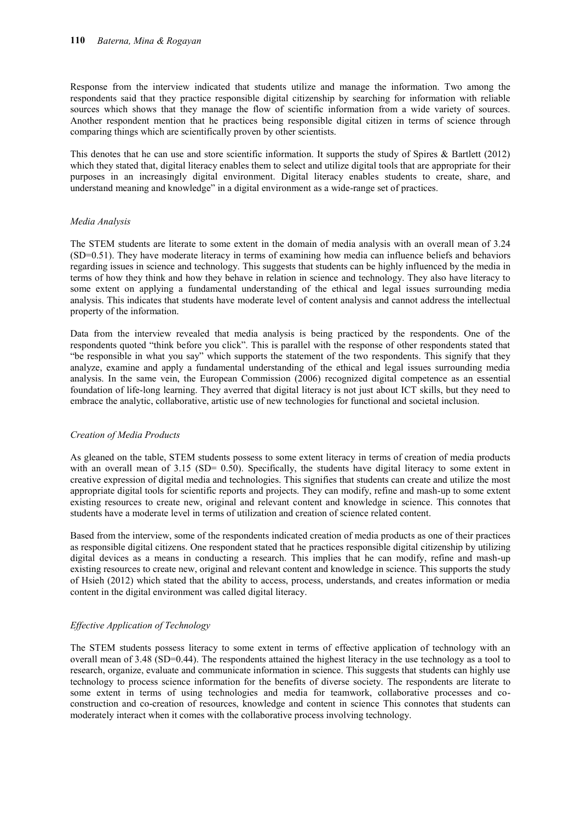Response from the interview indicated that students utilize and manage the information. Two among the respondents said that they practice responsible digital citizenship by searching for information with reliable sources which shows that they manage the flow of scientific information from a wide variety of sources. Another respondent mention that he practices being responsible digital citizen in terms of science through comparing things which are scientifically proven by other scientists.

This denotes that he can use and store scientific information. It supports the study of Spires & Bartlett (2012) which they stated that, digital literacy enables them to select and utilize digital tools that are appropriate for their purposes in an increasingly digital environment. Digital literacy enables students to create, share, and understand meaning and knowledge" in a digital environment as a wide-range set of practices.

#### *Media Analysis*

The STEM students are literate to some extent in the domain of media analysis with an overall mean of 3.24 (SD=0.51). They have moderate literacy in terms of examining how media can influence beliefs and behaviors regarding issues in science and technology. This suggests that students can be highly influenced by the media in terms of how they think and how they behave in relation in science and technology. They also have literacy to some extent on applying a fundamental understanding of the ethical and legal issues surrounding media analysis. This indicates that students have moderate level of content analysis and cannot address the intellectual property of the information.

Data from the interview revealed that media analysis is being practiced by the respondents. One of the respondents quoted "think before you click". This is parallel with the response of other respondents stated that "be responsible in what you say" which supports the statement of the two respondents. This signify that they analyze, examine and apply a fundamental understanding of the ethical and legal issues surrounding media analysis. In the same vein, the European Commission (2006) recognized digital competence as an essential foundation of life-long learning. They averred that digital literacy is not just about ICT skills, but they need to embrace the analytic, collaborative, artistic use of new technologies for functional and societal inclusion.

#### *Creation of Media Products*

As gleaned on the table, STEM students possess to some extent literacy in terms of creation of media products with an overall mean of 3.15 (SD= 0.50). Specifically, the students have digital literacy to some extent in creative expression of digital media and technologies. This signifies that students can create and utilize the most appropriate digital tools for scientific reports and projects. They can modify, refine and mash-up to some extent existing resources to create new, original and relevant content and knowledge in science. This connotes that students have a moderate level in terms of utilization and creation of science related content.

Based from the interview, some of the respondents indicated creation of media products as one of their practices as responsible digital citizens. One respondent stated that he practices responsible digital citizenship by utilizing digital devices as a means in conducting a research. This implies that he can modify, refine and mash-up existing resources to create new, original and relevant content and knowledge in science. This supports the study of Hsieh (2012) which stated that the ability to access, process, understands, and creates information or media content in the digital environment was called digital literacy.

#### *Effective Application of Technology*

The STEM students possess literacy to some extent in terms of effective application of technology with an overall mean of 3.48 (SD=0.44). The respondents attained the highest literacy in the use technology as a tool to research, organize, evaluate and communicate information in science. This suggests that students can highly use technology to process science information for the benefits of diverse society. The respondents are literate to some extent in terms of using technologies and media for teamwork, collaborative processes and coconstruction and co-creation of resources, knowledge and content in science This connotes that students can moderately interact when it comes with the collaborative process involving technology.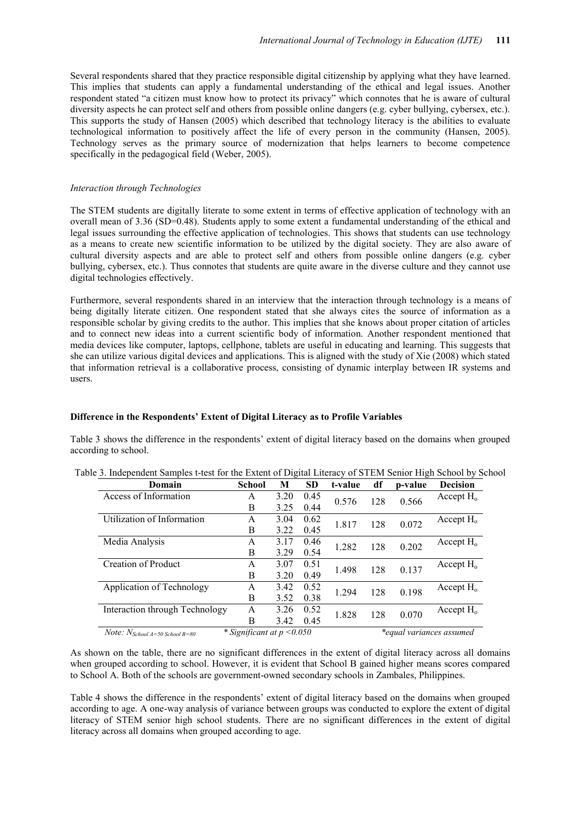Several respondents shared that they practice responsible digital citizenship by applying what they have learned. This implies that students can apply a fundamental understanding of the ethical and legal issues. Another respondent stated "a citizen must know how to protect its privacy" which connotes that he is aware of cultural diversity aspects he can protect self and others from possible online dangers (e.g. cyber bullying, cybersex, etc.). This supports the study of Hansen (2005) which described that technology literacy is the abilities to evaluate technological information to positively affect the life of every person in the community (Hansen, 2005). Technology serves as the primary source of modernization that helps learners to become competence specifically in the pedagogical field (Weber, 2005).

#### *Interaction through Technologies*

The STEM students are digitally literate to some extent in terms of effective application of technology with an overall mean of 3.36 (SD=0.48). Students apply to some extent a fundamental understanding of the ethical and legal issues surrounding the effective application of technologies. This shows that students can use technology as a means to create new scientific information to be utilized by the digital society. They are also aware of cultural diversity aspects and are able to protect self and others from possible online dangers (e.g. cyber bullying, cybersex, etc.). Thus connotes that students are quite aware in the diverse culture and they cannot use digital technologies effectively.

Furthermore, several respondents shared in an interview that the interaction through technology is a means of being digitally literate citizen. One respondent stated that she always cites the source of information as a responsible scholar by giving credits to the author. This implies that she knows about proper citation of articles and to connect new ideas into a current scientific body of information. Another respondent mentioned that media devices like computer, laptops, cellphone, tablets are useful in educating and learning. This suggests that she can utilize various digital devices and applications. This is aligned with the study of Xie (2008) which stated that information retrieval is a collaborative process, consisting of dynamic interplay between IR systems and users.

#### **Difference in the Respondents' Extent of Digital Literacy as to Profile Variables**

Table 3 shows the difference in the respondents' extent of digital literacy based on the domains when grouped according to school.

| Domain                                            | <b>School</b>                | М    | <b>SD</b> | t-value | df  | p-value | <b>Decision</b>          |
|---------------------------------------------------|------------------------------|------|-----------|---------|-----|---------|--------------------------|
| Access of Information                             | A                            | 3.20 | 0.45      | 0.576   | 128 | 0.566   | Accept $H_0$             |
|                                                   | B                            | 3.25 | 0.44      |         |     |         |                          |
| Utilization of Information                        | A                            | 3.04 | 0.62      | 1.817   | 128 | 0.072   | Accept $H_0$             |
|                                                   | B                            | 3.22 | 0.45      |         |     |         |                          |
| Media Analysis                                    | A                            | 3.17 | 0.46      | 1.282   | 128 | 0.202   | Accept $H_0$             |
|                                                   | B                            | 3.29 | 0.54      |         |     |         |                          |
| Creation of Product                               | A                            | 3.07 | 0.51      | 1.498   | 128 | 0.137   | Accept $H_0$             |
|                                                   | B                            | 3.20 | 0.49      |         |     |         |                          |
| Application of Technology                         | A                            | 3.42 | 0.52      | 1.294   | 128 | 0.198   | Accept $H_0$             |
|                                                   | B                            | 3.52 | 0.38      |         |     |         |                          |
| Interaction through Technology                    | A                            | 3.26 | 0.52      | 1.828   | 128 | 0.070   | Accept $H_0$             |
|                                                   | B                            | 3.42 | 0.45      |         |     |         |                          |
| <i>Note:</i> $N_{\text{School A=50 School B=80}}$ | * Significant at $p < 0.050$ |      |           |         |     |         | *equal variances assumed |

Table 3. Independent Samples t-test for the Extent of Digital Literacy of STEM Senior High School by School

As shown on the table, there are no significant differences in the extent of digital literacy across all domains when grouped according to school. However, it is evident that School B gained higher means scores compared to School A. Both of the schools are government-owned secondary schools in Zambales, Philippines.

Table 4 shows the difference in the respondents' extent of digital literacy based on the domains when grouped according to age. A one-way analysis of variance between groups was conducted to explore the extent of digital literacy of STEM senior high school students. There are no significant differences in the extent of digital literacy across all domains when grouped according to age.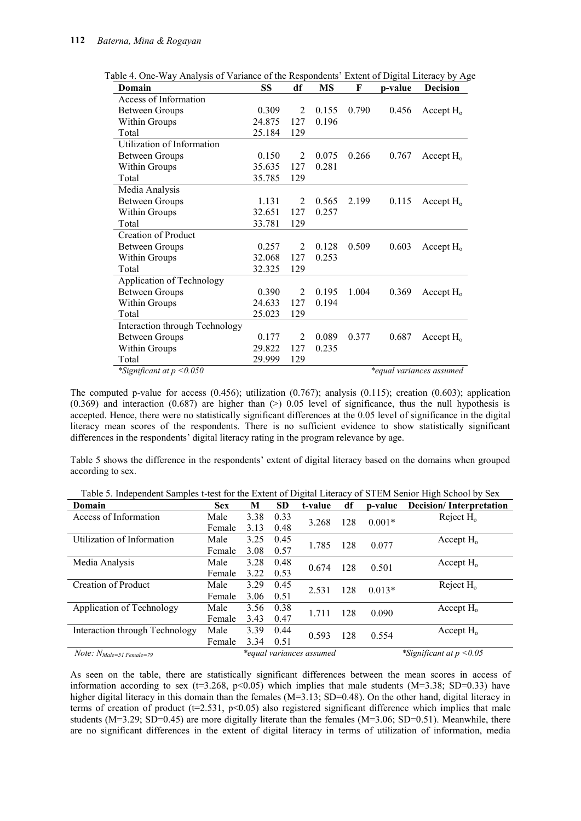| Domain                         | SS     | df             | MS    | F     | p-value | <b>Decision</b>          |
|--------------------------------|--------|----------------|-------|-------|---------|--------------------------|
| Access of Information          |        |                |       |       |         |                          |
| <b>Between Groups</b>          | 0.309  | $\overline{2}$ | 0.155 | 0.790 | 0.456   | Accept $H_0$             |
| Within Groups                  | 24.875 | 127            | 0.196 |       |         |                          |
| Total                          | 25.184 | 129            |       |       |         |                          |
| Utilization of Information     |        |                |       |       |         |                          |
| <b>Between Groups</b>          | 0.150  | 2              | 0.075 | 0.266 | 0.767   | Accept $H_0$             |
| Within Groups                  | 35.635 | 127            | 0.281 |       |         |                          |
| Total                          | 35.785 | 129            |       |       |         |                          |
| Media Analysis                 |        |                |       |       |         |                          |
| <b>Between Groups</b>          | 1.131  | $\overline{2}$ | 0.565 | 2.199 | 0.115   | Accept $H_0$             |
| Within Groups                  | 32.651 | 127            | 0.257 |       |         |                          |
| Total                          | 33.781 | 129            |       |       |         |                          |
| <b>Creation of Product</b>     |        |                |       |       |         |                          |
| <b>Between Groups</b>          | 0.257  | $\mathfrak{D}$ | 0.128 | 0.509 | 0.603   | Accept $H_0$             |
| Within Groups                  | 32.068 | 127            | 0.253 |       |         |                          |
| Total                          | 32.325 | 129            |       |       |         |                          |
| Application of Technology      |        |                |       |       |         |                          |
| <b>Between Groups</b>          | 0.390  | $\overline{2}$ | 0.195 | 1.004 | 0.369   | Accept $H_0$             |
| Within Groups                  | 24.633 | 127            | 0.194 |       |         |                          |
| Total                          | 25.023 | 129            |       |       |         |                          |
| Interaction through Technology |        |                |       |       |         |                          |
| <b>Between Groups</b>          | 0.177  | 2              | 0.089 | 0.377 | 0.687   | Accept $H_0$             |
| Within Groups                  | 29.822 | 127            | 0.235 |       |         |                          |
| Total                          | 29.999 | 129            |       |       |         |                          |
| *Significant at $p < 0.050$    |        |                |       |       |         | *equal variances assumed |

Table 4. One-Way Analysis of Variance of the Respondents' Extent of Digital Literacy by Age

The computed p-value for access (0.456); utilization (0.767); analysis (0.115); creation (0.603); application  $(0.369)$  and interaction  $(0.687)$  are higher than (>) 0.05 level of significance, thus the null hypothesis is accepted. Hence, there were no statistically significant differences at the 0.05 level of significance in the digital literacy mean scores of the respondents. There is no sufficient evidence to show statistically significant differences in the respondents' digital literacy rating in the program relevance by age.

Table 5 shows the difference in the respondents' extent of digital literacy based on the domains when grouped according to sex.

| Domain                         | <b>Sex</b>               | M    | <b>SD</b> | t-value | df  | p-value                    | <b>Decision/Interpretation</b> |
|--------------------------------|--------------------------|------|-----------|---------|-----|----------------------------|--------------------------------|
| Access of Information          | Male                     | 3.38 | 0.33      | 3.268   | 128 | $0.001*$                   | Reject $H_0$                   |
|                                | Female                   | 3.13 | 0.48      |         |     |                            |                                |
| Utilization of Information     | Male                     | 3.25 | 0.45      | 1.785   | 128 | 0.077                      | Accept $H_0$                   |
|                                | Female                   | 3.08 | 0.57      |         |     |                            |                                |
| Media Analysis                 | Male                     | 3.28 | 0.48      | 0.674   | 128 | 0.501                      | Accept $H_0$                   |
|                                | Female                   | 3.22 | 0.53      |         |     |                            |                                |
| <b>Creation of Product</b>     | Male                     | 3.29 | 0.45      | 2.531   | 128 | $0.013*$                   | Reject $H_0$                   |
|                                | Female                   | 3.06 | 0.51      |         |     |                            |                                |
| Application of Technology      | Male                     | 3.56 | 0.38      | 1.711   | 128 | 0.090                      | Accept $H_0$                   |
|                                | Female                   | 3.43 | 0.47      |         |     |                            |                                |
| Interaction through Technology | Male                     | 3.39 | 0.44      | 0.593   | 128 | 0.554                      | Accept $H_0$                   |
|                                | Female                   | 3.34 | 0.51      |         |     |                            |                                |
| $Note: N_{Male=51 Female=79}$  | *equal variances assumed |      |           |         |     | *Significant at $p < 0.05$ |                                |

Table 5. Independent Samples t-test for the Extent of Digital Literacy of STEM Senior High School by Sex

As seen on the table, there are statistically significant differences between the mean scores in access of information according to sex ( $t=3.268$ ,  $p<0.05$ ) which implies that male students (M=3.38; SD=0.33) have higher digital literacy in this domain than the females (M=3.13; SD=0.48). On the other hand, digital literacy in terms of creation of product ( $t=2.531$ ,  $p<0.05$ ) also registered significant difference which implies that male students ( $M=3.29$ ; SD=0.45) are more digitally literate than the females ( $M=3.06$ ; SD=0.51). Meanwhile, there are no significant differences in the extent of digital literacy in terms of utilization of information, media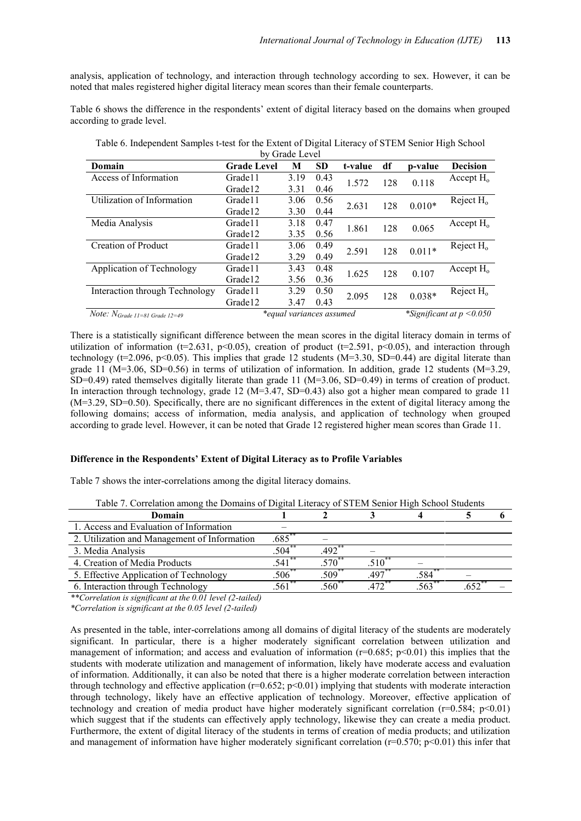analysis, application of technology, and interaction through technology according to sex. However, it can be noted that males registered higher digital literacy mean scores than their female counterparts.

Table 6 shows the difference in the respondents' extent of digital literacy based on the domains when grouped according to grade level.

| by Grade Level                         |                    |                          |           |         |     |          |                             |  |  |
|----------------------------------------|--------------------|--------------------------|-----------|---------|-----|----------|-----------------------------|--|--|
| Domain                                 | <b>Grade Level</b> | М                        | <b>SD</b> | t-value | df  | p-value  | <b>Decision</b>             |  |  |
| Access of Information                  | Grade11            | 3.19                     | 0.43      | 1.572   | 128 | 0.118    | Accept $H_0$                |  |  |
|                                        | Grade12            | 3.31                     | 0.46      |         |     |          |                             |  |  |
| Utilization of Information             | Grade11            | 3.06                     | 0.56      | 2.631   | 128 | $0.010*$ | Reject $H_0$                |  |  |
|                                        | Grade12            | 3.30                     | 0.44      |         |     |          |                             |  |  |
| Media Analysis                         | Grade11            | 3.18                     | 0.47      | 1.861   | 128 | 0.065    | Accept $H_0$                |  |  |
|                                        | Grade12            | 3.35                     | 0.56      |         |     |          |                             |  |  |
| <b>Creation of Product</b>             | Grade11            | 3.06                     | 0.49      | 2.591   | 128 | $0.011*$ | Reject $H_0$                |  |  |
|                                        | Grade12            | 3.29                     | 0.49      |         |     |          |                             |  |  |
| Application of Technology              | Grade11            | 3.43                     | 0.48      | 1.625   | 128 | 0.107    | Accept $H_0$                |  |  |
|                                        | Grade12            | 3.56                     | 0.36      |         |     |          |                             |  |  |
| Interaction through Technology         | Grade11            | 3.29                     | 0.50      | 2.095   | 128 | $0.038*$ | Reject $H_0$                |  |  |
|                                        | Grade12            | 3.47                     | 0.43      |         |     |          |                             |  |  |
| Note: $N_{Grade\ II=81\ Grade\ I2=49}$ |                    | *equal variances assumed |           |         |     |          | *Significant at $p < 0.050$ |  |  |

Table 6. Independent Samples t-test for the Extent of Digital Literacy of STEM Senior High School

There is a statistically significant difference between the mean scores in the digital literacy domain in terms of utilization of information (t=2.631, p<0.05), creation of product (t=2.591, p<0.05), and interaction through technology ( $t=2.096$ ,  $p<0.05$ ). This implies that grade 12 students ( $M=3.30$ , SD=0.44) are digital literate than grade 11 ( $M=3.06$ , SD=0.56) in terms of utilization of information. In addition, grade 12 students ( $M=3.29$ , SD=0.49) rated themselves digitally literate than grade 11 (M=3.06, SD=0.49) in terms of creation of product. In interaction through technology, grade 12 ( $M=3.47$ , SD=0.43) also got a higher mean compared to grade 11 (M=3.29, SD=0.50). Specifically, there are no significant differences in the extent of digital literacy among the following domains; access of information, media analysis, and application of technology when grouped according to grade level. However, it can be noted that Grade 12 registered higher mean scores than Grade 11.

#### **Difference in the Respondents' Extent of Digital Literacy as to Profile Variables**

Table 7 shows the inter-correlations among the digital literacy domains.

| Domain                                       |                     |                      |               |          |      |  |
|----------------------------------------------|---------------------|----------------------|---------------|----------|------|--|
| 1. Access and Evaluation of Information      |                     |                      |               |          |      |  |
| 2. Utilization and Management of Information | .685                |                      |               |          |      |  |
| 3. Media Analysis                            | $.504***$           | $492$ **             |               |          |      |  |
| 4. Creation of Media Products                | $\overline{541}$ ** | $570^*$              | $510^{\circ}$ |          |      |  |
| 5. Effective Application of Technology       | $.506^{11}$         | $.509$ <sup>**</sup> | $497$ **      | .584^^   |      |  |
| 6. Interaction through Technology            | $.561$ **           | $.560**$             | $472$ **      | $563$ ** | .652 |  |

Table 7. Correlation among the Domains of Digital Literacy of STEM Senior High School Students

*\*\*Correlation is significant at the 0.01 level (2-tailed)* 

*\*Correlation is significant at the 0.05 level (2-tailed)* 

As presented in the table, inter-correlations among all domains of digital literacy of the students are moderately significant. In particular, there is a higher moderately significant correlation between utilization and management of information; and access and evaluation of information ( $r=0.685$ ;  $p<0.01$ ) this implies that the students with moderate utilization and management of information, likely have moderate access and evaluation of information. Additionally, it can also be noted that there is a higher moderate correlation between interaction through technology and effective application ( $r=0.652$ ;  $p<0.01$ ) implying that students with moderate interaction through technology, likely have an effective application of technology. Moreover, effective application of technology and creation of media product have higher moderately significant correlation  $(r=0.584; p<0.01)$ which suggest that if the students can effectively apply technology, likewise they can create a media product. Furthermore, the extent of digital literacy of the students in terms of creation of media products; and utilization and management of information have higher moderately significant correlation ( $r=0.570$ ;  $p<0.01$ ) this infer that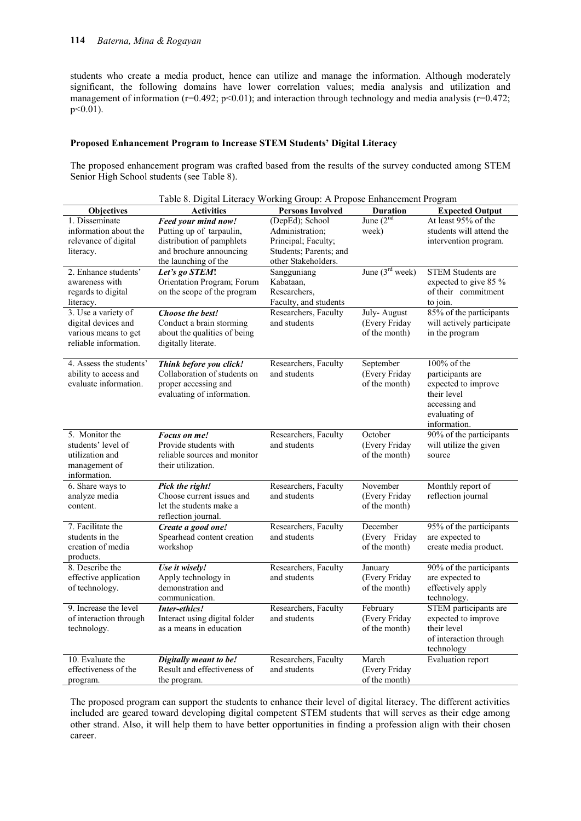students who create a media product, hence can utilize and manage the information. Although moderately significant, the following domains have lower correlation values; media analysis and utilization and management of information (r=0.492; p<0.01); and interaction through technology and media analysis (r=0.472; p<0.01).

#### **Proposed Enhancement Program to Increase STEM Students' Digital Literacy**

The proposed enhancement program was crafted based from the results of the survey conducted among STEM Senior High School students (see Table 8).

| Table 8. Digital Literacy Working Group: A Propose Enhancement Program |                               |                         |                   |                           |  |  |  |  |
|------------------------------------------------------------------------|-------------------------------|-------------------------|-------------------|---------------------------|--|--|--|--|
| Objectives                                                             | <b>Activities</b>             | <b>Persons Involved</b> | <b>Duration</b>   | <b>Expected Output</b>    |  |  |  |  |
| 1. Disseminate                                                         | Feed your mind now!           | (DepEd); School         | June $(2^{nd}$    | At least 95% of the       |  |  |  |  |
| information about the                                                  | Putting up of tarpaulin,      | Administration;         | week)             | students will attend the  |  |  |  |  |
| relevance of digital                                                   | distribution of pamphlets     | Principal; Faculty;     |                   | intervention program.     |  |  |  |  |
| literacy.                                                              | and brochure announcing       | Students; Parents; and  |                   |                           |  |  |  |  |
|                                                                        | the launching of the          | other Stakeholders.     |                   |                           |  |  |  |  |
| 2. Enhance students'                                                   | Let's go STEM!                | Sangguniang             | June $(3rd week)$ | <b>STEM Students are</b>  |  |  |  |  |
| awareness with                                                         | Orientation Program; Forum    | Kabataan,               |                   | expected to give 85 %     |  |  |  |  |
| regards to digital                                                     | on the scope of the program   | Researchers.            |                   | of their commitment       |  |  |  |  |
| literacy.                                                              |                               | Faculty, and students   |                   | to join.                  |  |  |  |  |
| 3. Use a variety of                                                    | Choose the best!              | Researchers, Faculty    | July-August       | 85% of the participants   |  |  |  |  |
| digital devices and                                                    | Conduct a brain storming      | and students            | (Every Friday     | will actively participate |  |  |  |  |
| various means to get                                                   | about the qualities of being  |                         | of the month)     | in the program            |  |  |  |  |
| reliable information.                                                  | digitally literate.           |                         |                   |                           |  |  |  |  |
|                                                                        |                               |                         |                   |                           |  |  |  |  |
| 4. Assess the students'                                                | Think before you click!       | Researchers, Faculty    | September         | 100% of the               |  |  |  |  |
| ability to access and                                                  | Collaboration of students on  | and students            | (Every Friday     | participants are          |  |  |  |  |
| evaluate information.                                                  | proper accessing and          |                         | of the month)     | expected to improve       |  |  |  |  |
|                                                                        | evaluating of information.    |                         |                   | their level               |  |  |  |  |
|                                                                        |                               |                         |                   | accessing and             |  |  |  |  |
|                                                                        |                               |                         |                   | evaluating of             |  |  |  |  |
|                                                                        |                               |                         |                   | information.              |  |  |  |  |
| 5. Monitor the                                                         | Focus on me!                  | Researchers, Faculty    | October           | 90% of the participants   |  |  |  |  |
| students' level of                                                     | Provide students with         | and students            | (Every Friday     | will utilize the given    |  |  |  |  |
| utilization and                                                        | reliable sources and monitor  |                         | of the month)     | source                    |  |  |  |  |
| management of                                                          | their utilization.            |                         |                   |                           |  |  |  |  |
| information.<br>6. Share ways to                                       | Pick the right!               | Researchers, Faculty    | November          | Monthly report of         |  |  |  |  |
| analyze media                                                          | Choose current issues and     | and students            | (Every Friday     | reflection journal        |  |  |  |  |
| content.                                                               | let the students make a       |                         | of the month)     |                           |  |  |  |  |
|                                                                        | reflection journal.           |                         |                   |                           |  |  |  |  |
| 7. Facilitate the                                                      | Create a good one!            | Researchers, Faculty    | December          | 95% of the participants   |  |  |  |  |
| students in the                                                        | Spearhead content creation    | and students            | (Every Friday     | are expected to           |  |  |  |  |
| creation of media                                                      | workshop                      |                         | of the month)     | create media product.     |  |  |  |  |
| products.                                                              |                               |                         |                   |                           |  |  |  |  |
| 8. Describe the                                                        | Use it wisely!                | Researchers, Faculty    | January           | 90% of the participants   |  |  |  |  |
| effective application                                                  | Apply technology in           | and students            | (Every Friday     | are expected to           |  |  |  |  |
| of technology.                                                         | demonstration and             |                         | of the month)     | effectively apply         |  |  |  |  |
|                                                                        | communication.                |                         |                   | technology.               |  |  |  |  |
| 9. Increase the level                                                  | Inter-ethics!                 | Researchers, Faculty    | February          | STEM participants are     |  |  |  |  |
| of interaction through                                                 | Interact using digital folder | and students            | (Every Friday     | expected to improve       |  |  |  |  |
| technology.                                                            | as a means in education       |                         | of the month)     | their level               |  |  |  |  |
|                                                                        |                               |                         |                   | of interaction through    |  |  |  |  |
|                                                                        |                               |                         |                   | technology                |  |  |  |  |
| 10. Evaluate the                                                       | Digitally meant to be!        | Researchers, Faculty    | March             | <b>Evaluation</b> report  |  |  |  |  |
| effectiveness of the                                                   | Result and effectiveness of   | and students            | (Every Friday     |                           |  |  |  |  |
| program.                                                               | the program.                  |                         | of the month)     |                           |  |  |  |  |

The proposed program can support the students to enhance their level of digital literacy. The different activities included are geared toward developing digital competent STEM students that will serves as their edge among other strand. Also, it will help them to have better opportunities in finding a profession align with their chosen career.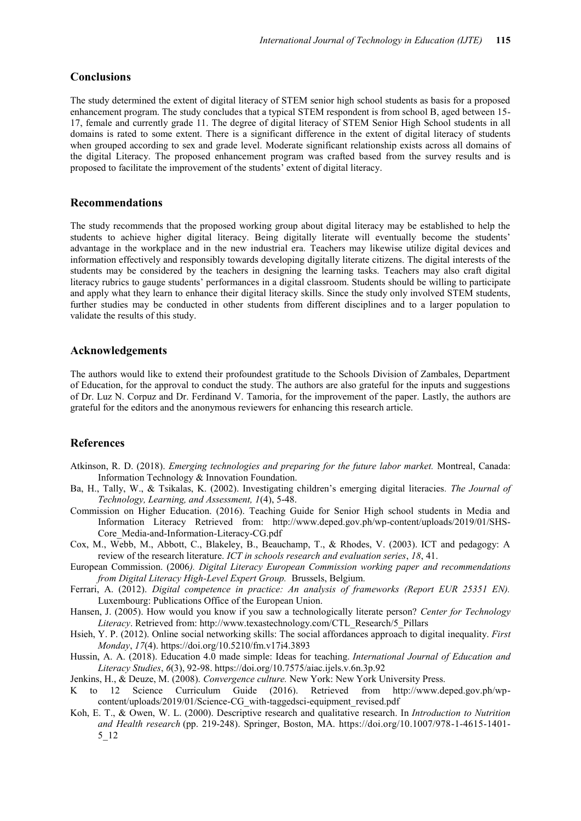### **Conclusions**

The study determined the extent of digital literacy of STEM senior high school students as basis for a proposed enhancement program. The study concludes that a typical STEM respondent is from school B, aged between 15- 17, female and currently grade 11. The degree of digital literacy of STEM Senior High School students in all domains is rated to some extent. There is a significant difference in the extent of digital literacy of students when grouped according to sex and grade level. Moderate significant relationship exists across all domains of the digital Literacy. The proposed enhancement program was crafted based from the survey results and is proposed to facilitate the improvement of the students' extent of digital literacy.

### **Recommendations**

The study recommends that the proposed working group about digital literacy may be established to help the students to achieve higher digital literacy. Being digitally literate will eventually become the students' advantage in the workplace and in the new industrial era. Teachers may likewise utilize digital devices and information effectively and responsibly towards developing digitally literate citizens. The digital interests of the students may be considered by the teachers in designing the learning tasks. Teachers may also craft digital literacy rubrics to gauge students' performances in a digital classroom. Students should be willing to participate and apply what they learn to enhance their digital literacy skills. Since the study only involved STEM students, further studies may be conducted in other students from different disciplines and to a larger population to validate the results of this study.

## **Acknowledgements**

The authors would like to extend their profoundest gratitude to the Schools Division of Zambales, Department of Education, for the approval to conduct the study. The authors are also grateful for the inputs and suggestions of Dr. Luz N. Corpuz and Dr. Ferdinand V. Tamoria, for the improvement of the paper. Lastly, the authors are grateful for the editors and the anonymous reviewers for enhancing this research article.

## **References**

- Atkinson, R. D. (2018). *Emerging technologies and preparing for the future labor market.* Montreal, Canada: Information Technology & Innovation Foundation.
- Ba, H., Tally, W., & Tsikalas, K. (2002). Investigating children's emerging digital literacies*. The Journal of Technology, Learning, and Assessment, 1*(4), 5-48.
- Commission on Higher Education. (2016). Teaching Guide for Senior High school students in Media and Information Literacy Retrieved from: http://www.deped.gov.ph/wp-content/uploads/2019/01/SHS-Core\_Media-and-Information-Literacy-CG.pdf
- Cox, M., Webb, M., Abbott, C., Blakeley, B., Beauchamp, T., & Rhodes, V. (2003). ICT and pedagogy: A review of the research literature. *ICT in schools research and evaluation series*, *18*, 41.
- European Commission. (2006*). Digital Literacy European Commission working paper and recommendations from Digital Literacy High-Level Expert Group.* Brussels, Belgium.
- Ferrari, A. (2012). *Digital competence in practice: An analysis of frameworks (Report EUR 25351 EN).* Luxembourg: Publications Office of the European Union.
- Hansen, J. (2005). How would you know if you saw a technologically literate person? *Center for Technology Literacy*. Retrieved from: http://www.texastechnology.com/CTL\_Research/5\_Pillars
- Hsieh, Y. P. (2012). Online social networking skills: The social affordances approach to digital inequality. *First Monday*, *17*(4). https://doi.org/10.5210/fm.v17i4.3893
- Hussin, A. A. (2018). Education 4.0 made simple: Ideas for teaching. *International Journal of Education and Literacy Studies*, *6*(3), 92-98. https://doi.org/10.7575/aiac.ijels.v.6n.3p.92
- Jenkins, H., & Deuze, M. (2008). *Convergence culture.* New York: New York University Press.
- K to 12 Science Curriculum Guide (2016). Retrieved from http://www.deped.gov.ph/wpcontent/uploads/2019/01/Science-CG\_with-taggedsci-equipment\_revised.pdf
- Koh, E. T., & Owen, W. L. (2000). Descriptive research and qualitative research. In *Introduction to Nutrition and Health research* (pp. 219-248). Springer, Boston, MA. https://doi.org/10.1007/978-1-4615-1401- 5\_12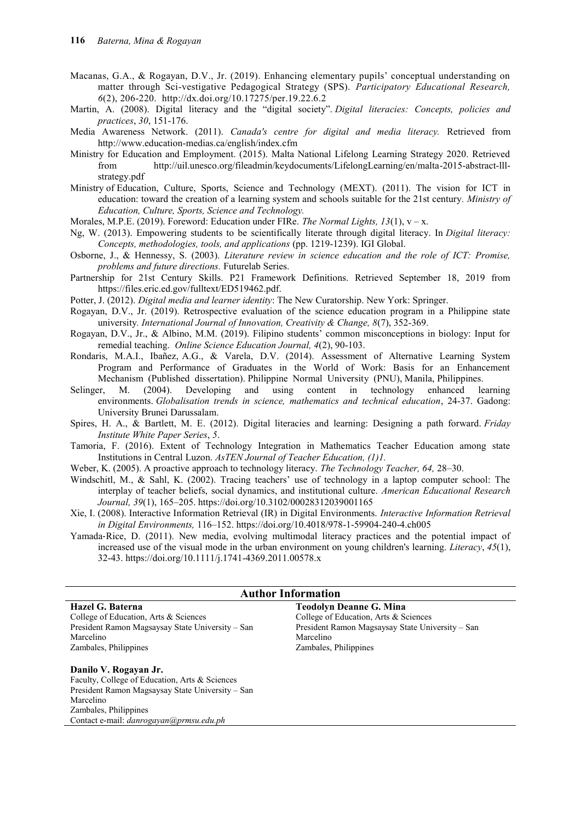- Macanas, G.A., & Rogayan, D.V., Jr. (2019). Enhancing elementary pupils' conceptual understanding on matter through Sci-vestigative Pedagogical Strategy (SPS). *Participatory Educational Research, 6*(2), 206-220. http://dx.doi.org/10.17275/per.19.22.6.2
- Martin, A. (2008). Digital literacy and the "digital society". *Digital literacies: Concepts, policies and practices*, *30*, 151-176.
- Media Awareness Network. (2011). *Canada's centre for digital and media literacy.* Retrieved from http://www.education-medias.ca/english/index.cfm
- Ministry for Education and Employment. (2015). Malta National Lifelong Learning Strategy 2020. Retrieved from http://uil.unesco.org/fileadmin/keydocuments/LifelongLearning/en/malta-2015-abstract-lllstrategy.pdf
- Ministry of Education, Culture, Sports, Science and Technology (MEXT). (2011). The vision for ICT in education: toward the creation of a learning system and schools suitable for the 21st century*. Ministry of Education, Culture, Sports, Science and Technology.*

Morales, M.P.E. (2019). Foreword: Education under FIRe. *The Normal Lights, 13*(1),  $v - x$ .

- Ng, W. (2013). Empowering students to be scientifically literate through digital literacy. In *Digital literacy: Concepts, methodologies, tools, and applications* (pp. 1219-1239). IGI Global.
- Osborne, J., & Hennessy, S. (2003). *Literature review in science education and the role of ICT: Promise, problems and future directions.* Futurelab Series.
- Partnership for 21st Century Skills. P21 Framework Definitions. Retrieved September 18, 2019 from https://files.eric.ed.gov/fulltext/ED519462.pdf.
- Potter, J. (2012). *Digital media and learner identity*: The New Curatorship. New York: Springer.
- Rogayan, D.V., Jr. (2019). Retrospective evaluation of the science education program in a Philippine state university*. International Journal of Innovation, Creativity & Change, 8*(7), 352-369.
- Rogayan, D.V., Jr., & Albino, M.M. (2019). Filipino students' common misconceptions in biology: Input for remedial teaching. *Online Science Education Journal, 4*(2), 90-103.
- Rondaris, M.A.I., Ibañez, A.G., & Varela, D.V. (2014). Assessment of Alternative Learning System Program and Performance of Graduates in the World of Work: Basis for an Enhancement Mechanism (Published dissertation). Philippine Normal University (PNU), Manila, Philippines.
- Selinger, M. (2004). Developing and using content in technology enhanced learning environments. *Globalisation trends in science, mathematics and technical education*, 24-37. Gadong: University Brunei Darussalam.
- Spires, H. A., & Bartlett, M. E. (2012). Digital literacies and learning: Designing a path forward. *Friday Institute White Paper Series*, *5*.
- Tamoria, F. (2016). Extent of Technology Integration in Mathematics Teacher Education among state Institutions in Central Luzon. *AsTEN Journal of Teacher Education, (1)1.*
- Weber, K. (2005). A proactive approach to technology literacy. *The Technology Teacher, 64,* 28–30.
- Windschitl, M., & Sahl, K. (2002). Tracing teachers' use of technology in a laptop computer school: The interplay of teacher beliefs, social dynamics, and institutional culture. *American Educational Research Journal, 39*(1), 165–205. https://doi.org/10.3102/00028312039001165
- Xie, I. (2008). Interactive Information Retrieval (IR) in Digital Environments. *Interactive Information Retrieval in Digital Environments,* 116–152. https://doi.org/10.4018/978-1-59904-240-4.ch005
- Yamada‐Rice, D. (2011). New media, evolving multimodal literacy practices and the potential impact of increased use of the visual mode in the urban environment on young children's learning. *Literacy*, *45*(1), 32-43. https://doi.org/10.1111/j.1741-4369.2011.00578.x

| <b>Author Information</b>                                               |                                                  |  |  |  |  |  |  |
|-------------------------------------------------------------------------|--------------------------------------------------|--|--|--|--|--|--|
| Hazel G. Baterna<br><b>Teodolyn Deanne G. Mina</b>                      |                                                  |  |  |  |  |  |  |
| College of Education, Arts & Sciences                                   | College of Education, Arts & Sciences            |  |  |  |  |  |  |
| President Ramon Magsaysay State University – San                        | President Ramon Magsaysay State University – San |  |  |  |  |  |  |
| Marcelino                                                               | Marcelino                                        |  |  |  |  |  |  |
| Zambales, Philippines                                                   | Zambales, Philippines                            |  |  |  |  |  |  |
| Danilo V. Rogayan Jr.<br>Faculty, College of Education, Arts & Sciences |                                                  |  |  |  |  |  |  |
| President Ramon Magsaysay State University – San                        |                                                  |  |  |  |  |  |  |
| Marcelino                                                               |                                                  |  |  |  |  |  |  |
| Zambales, Philippines                                                   |                                                  |  |  |  |  |  |  |
| Contact e-mail: danrogayan@prmsu.edu.ph                                 |                                                  |  |  |  |  |  |  |